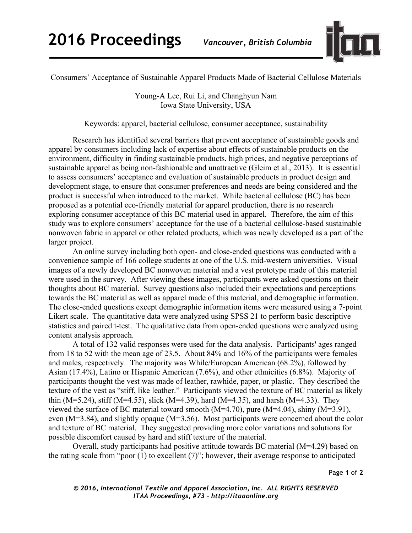

Consumers' Acceptance of Sustainable Apparel Products Made of Bacterial Cellulose Materials

Young-A Lee, Rui Li, and Changhyun Nam Iowa State University, USA

Keywords: apparel, bacterial cellulose, consumer acceptance, sustainability

Research has identified several barriers that prevent acceptance of sustainable goods and apparel by consumers including lack of expertise about effects of sustainable products on the environment, difficulty in finding sustainable products, high prices, and negative perceptions of sustainable apparel as being non-fashionable and unattractive (Gleim et al., 2013). It is essential to assess consumers' acceptance and evaluation of sustainable products in product design and development stage, to ensure that consumer preferences and needs are being considered and the product is successful when introduced to the market. While bacterial cellulose (BC) has been proposed as a potential eco-friendly material for apparel production, there is no research exploring consumer acceptance of this BC material used in apparel. Therefore, the aim of this study was to explore consumers' acceptance for the use of a bacterial cellulose-based sustainable nonwoven fabric in apparel or other related products, which was newly developed as a part of the larger project.

An online survey including both open- and close-ended questions was conducted with a convenience sample of 166 college students at one of the U.S. mid-western universities. Visual images of a newly developed BC nonwoven material and a vest prototype made of this material were used in the survey. After viewing these images, participants were asked questions on their thoughts about BC material. Survey questions also included their expectations and perceptions towards the BC material as well as apparel made of this material, and demographic information. The close-ended questions except demographic information items were measured using a 7-point Likert scale. The quantitative data were analyzed using SPSS 21 to perform basic descriptive statistics and paired t-test. The qualitative data from open-ended questions were analyzed using content analysis approach.

A total of 132 valid responses were used for the data analysis. Participants' ages ranged from 18 to 52 with the mean age of 23.5. About 84% and 16% of the participants were females and males, respectively. The majority was While/European American (68.2%), followed by Asian (17.4%), Latino or Hispanic American (7.6%), and other ethnicities (6.8%). Majority of participants thought the vest was made of leather, rawhide, paper, or plastic. They described the texture of the vest as "stiff, like leather." Participants viewed the texture of BC material as likely thin (M=5.24), stiff (M=4.55), slick (M=4.39), hard (M=4.35), and harsh (M=4.33). They viewed the surface of BC material toward smooth (M=4.70), pure (M=4.04), shiny (M=3.91), even (M=3.84), and slightly opaque (M=3.56). Most participants were concerned about the color and texture of BC material. They suggested providing more color variations and solutions for possible discomfort caused by hard and stiff texture of the material.

Overall, study participants had positive attitude towards BC material (M=4.29) based on the rating scale from "poor (1) to excellent (7)"; however, their average response to anticipated

Page **1** of **2**

*© 2016, International Textile and Apparel Association, Inc. ALL RIGHTS RESERVED ITAA Proceedings, #73 – http://itaaonline.org*